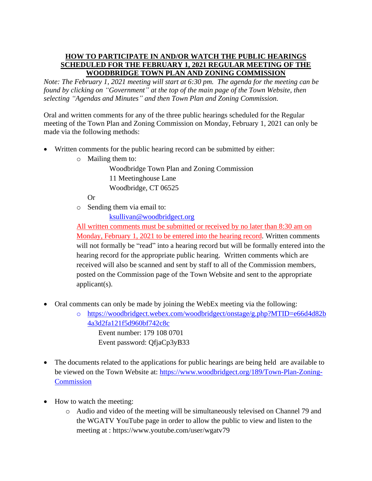## **HOW TO PARTICIPATE IN AND/OR WATCH THE PUBLIC HEARINGS SCHEDULED FOR THE FEBRUARY 1, 2021 REGULAR MEETING OF THE WOODBRIDGE TOWN PLAN AND ZONING COMMISSION**

*Note: The February 1, 2021 meeting will start at 6:30 pm. The agenda for the meeting can be found by clicking on "Government" at the top of the main page of the Town Website, then selecting "Agendas and Minutes" and then Town Plan and Zoning Commission.*

Oral and written comments for any of the three public hearings scheduled for the Regular meeting of the Town Plan and Zoning Commission on Monday, February 1, 2021 can only be made via the following methods:

- Written comments for the public hearing record can be submitted by either:
	- o Mailing them to:

Woodbridge Town Plan and Zoning Commission 11 Meetinghouse Lane Woodbridge, CT 06525

Or

o Sending them via email to:

[ksullivan@woodbridgect.org](mailto:ksullivan@woodbridgect.org)

All written comments must be submitted or received by no later than 8:30 am on Monday, February 1, 2021 to be entered into the hearing record. Written comments will not formally be "read" into a hearing record but will be formally entered into the hearing record for the appropriate public hearing. Written comments which are received will also be scanned and sent by staff to all of the Commission members, posted on the Commission page of the Town Website and sent to the appropriate applicant(s).

- Oral comments can only be made by joining the WebEx meeting via the following:
	- o https://woodbridgect.webex.com/woodbridgect/onstage/g.php?MTID=e66d4d82b 4a3d2fa121f5d960bf742c8c Event number: 179 108 0701 Event password: QfjaCp3yB33
- The documents related to the applications for public hearings are being held are available to be viewed on the Town Website at: [https://www.woodbridgect.org/189/Town-Plan-Zoning-](https://www.woodbridgect.org/189/Town-Plan-Zoning-Commission)**[Commission](https://www.woodbridgect.org/189/Town-Plan-Zoning-Commission)**
- How to watch the meeting:
	- o Audio and video of the meeting will be simultaneously televised on Channel 79 and the WGATV YouTube page in order to allow the public to view and listen to the meeting at : https://www.youtube.com/user/wgatv79